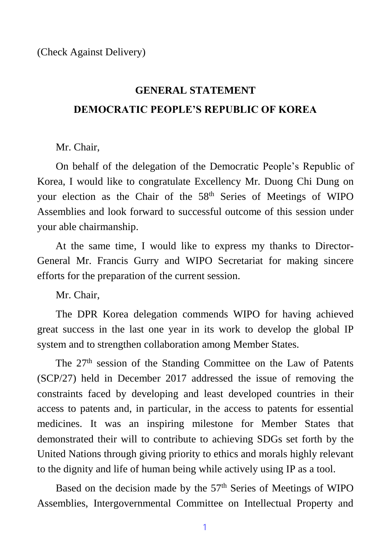## **GENERAL STATEMENT DEMOCRATIC PEOPLE'S REPUBLIC OF KOREA**

## Mr. Chair,

On behalf of the delegation of the Democratic People's Republic of Korea, I would like to congratulate Excellency Mr. Duong Chi Dung on your election as the Chair of the 58th Series of Meetings of WIPO Assemblies and look forward to successful outcome of this session under your able chairmanship.

At the same time, I would like to express my thanks to Director-General Mr. Francis Gurry and WIPO Secretariat for making sincere efforts for the preparation of the current session.

Mr. Chair,

The DPR Korea delegation commends WIPO for having achieved great success in the last one year in its work to develop the global IP system and to strengthen collaboration among Member States.

The 27<sup>th</sup> session of the Standing Committee on the Law of Patents (SCP/27) held in December 2017 addressed the issue of removing the constraints faced by developing and least developed countries in their access to patents and, in particular, in the access to patents for essential medicines. It was an inspiring milestone for Member States that demonstrated their will to contribute to achieving SDGs set forth by the United Nations through giving priority to ethics and morals highly relevant to the dignity and life of human being while actively using IP as a tool.

Based on the decision made by the 57<sup>th</sup> Series of Meetings of WIPO Assemblies, Intergovernmental Committee on Intellectual Property and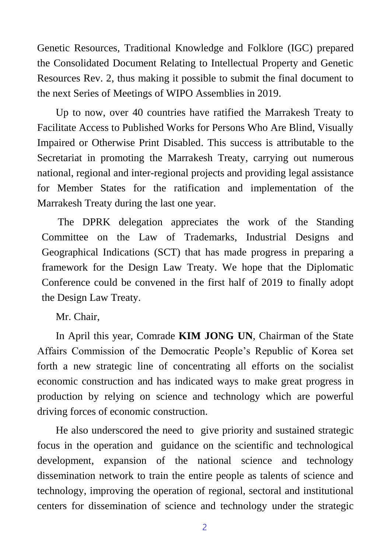Genetic Resources, Traditional Knowledge and Folklore (IGC) prepared the Consolidated Document Relating to Intellectual Property and Genetic Resources Rev. 2, thus making it possible to submit the final document to the next Series of Meetings of WIPO Assemblies in 2019.

Up to now, over 40 countries have ratified the Marrakesh Treaty to Facilitate Access to Published Works for Persons Who Are Blind, Visually Impaired or Otherwise Print Disabled. This success is attributable to the Secretariat in promoting the Marrakesh Treaty, carrying out numerous national, regional and inter-regional projects and providing legal assistance for Member States for the ratification and implementation of the Marrakesh Treaty during the last one year.

The DPRK delegation appreciates the work of the Standing Committee on the Law of Trademarks, Industrial Designs and Geographical Indications (SCT) that has made progress in preparing a framework for the Design Law Treaty. We hope that the Diplomatic Conference could be convened in the first half of 2019 to finally adopt the Design Law Treaty.

Mr. Chair,

In April this year, Comrade **KIM JONG UN**, Chairman of the State Affairs Commission of the Democratic People's Republic of Korea set forth a new strategic line of concentrating all efforts on the socialist economic construction and has indicated ways to make great progress in production by relying on science and technology which are powerful driving forces of economic construction.

He also underscored the need to give priority and sustained strategic focus in the operation and guidance on the scientific and technological development, expansion of the national science and technology dissemination network to train the entire people as talents of science and technology, improving the operation of regional, sectoral and institutional centers for dissemination of science and technology under the strategic